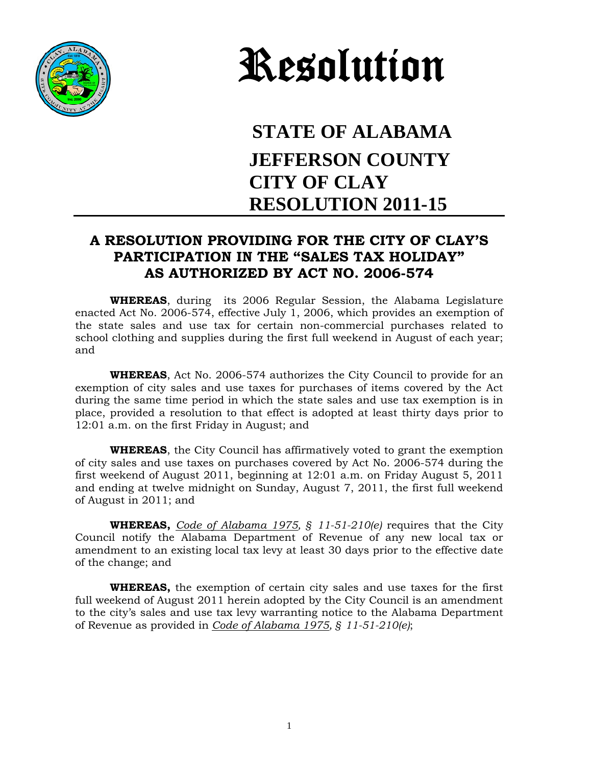



## **STATE OF ALABAMA JEFFERSON COUNTY CITY OF CLAY RESOLUTION 2011-15**

## **A RESOLUTION PROVIDING FOR THE CITY OF CLAY'S PARTICIPATION IN THE "SALES TAX HOLIDAY" AS AUTHORIZED BY ACT NO. 2006-574**

**WHEREAS**, during its 2006 Regular Session, the Alabama Legislature enacted Act No. 2006-574, effective July 1, 2006, which provides an exemption of the state sales and use tax for certain non-commercial purchases related to school clothing and supplies during the first full weekend in August of each year; and

**WHEREAS**, Act No. 2006-574 authorizes the City Council to provide for an exemption of city sales and use taxes for purchases of items covered by the Act during the same time period in which the state sales and use tax exemption is in place, provided a resolution to that effect is adopted at least thirty days prior to 12:01 a.m. on the first Friday in August; and

**WHEREAS**, the City Council has affirmatively voted to grant the exemption of city sales and use taxes on purchases covered by Act No. 2006-574 during the first weekend of August 2011, beginning at 12:01 a.m. on Friday August 5, 2011 and ending at twelve midnight on Sunday, August 7, 2011, the first full weekend of August in 2011; and

**WHEREAS,** *Code of Alabama 1975, § 11-51-210(e)* requires that the City Council notify the Alabama Department of Revenue of any new local tax or amendment to an existing local tax levy at least 30 days prior to the effective date of the change; and

**WHEREAS,** the exemption of certain city sales and use taxes for the first full weekend of August 2011 herein adopted by the City Council is an amendment to the city's sales and use tax levy warranting notice to the Alabama Department of Revenue as provided in *Code of Alabama 1975, § 11-51-210(e)*;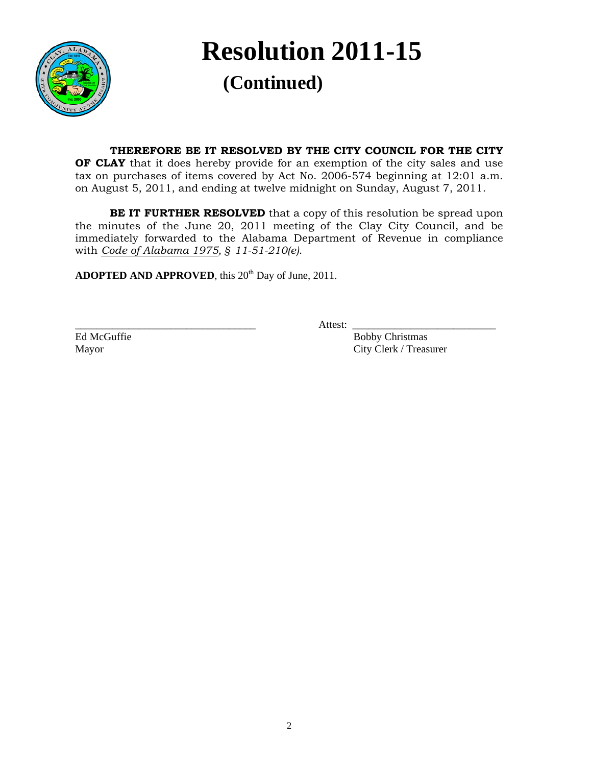

**Resolution 2011-15 (Continued)**<br> **(Continued)** 

## **THEREFORE BE IT RESOLVED BY THE CITY COUNCIL FOR THE CITY**

**OF CLAY** that it does hereby provide for an exemption of the city sales and use tax on purchases of items covered by Act No. 2006-574 beginning at 12:01 a.m. on August 5, 2011, and ending at twelve midnight on Sunday, August 7, 2011.

**BE IT FURTHER RESOLVED** that a copy of this resolution be spread upon the minutes of the June 20, 2011 meeting of the Clay City Council, and be immediately forwarded to the Alabama Department of Revenue in compliance with *Code of Alabama 1975, § 11-51-210(e)*.

ADOPTED AND APPROVED, this 20<sup>th</sup> Day of June, 2011.

\_\_\_\_\_\_\_\_\_\_\_\_\_\_\_\_\_\_\_\_\_\_\_\_\_\_\_\_\_\_\_\_\_\_ Attest: \_\_\_\_\_\_\_\_\_\_\_\_\_\_\_\_\_\_\_\_\_\_\_\_\_\_\_

Ed McGuffie Bobby Christmas Mayor City Clerk / Treasurer